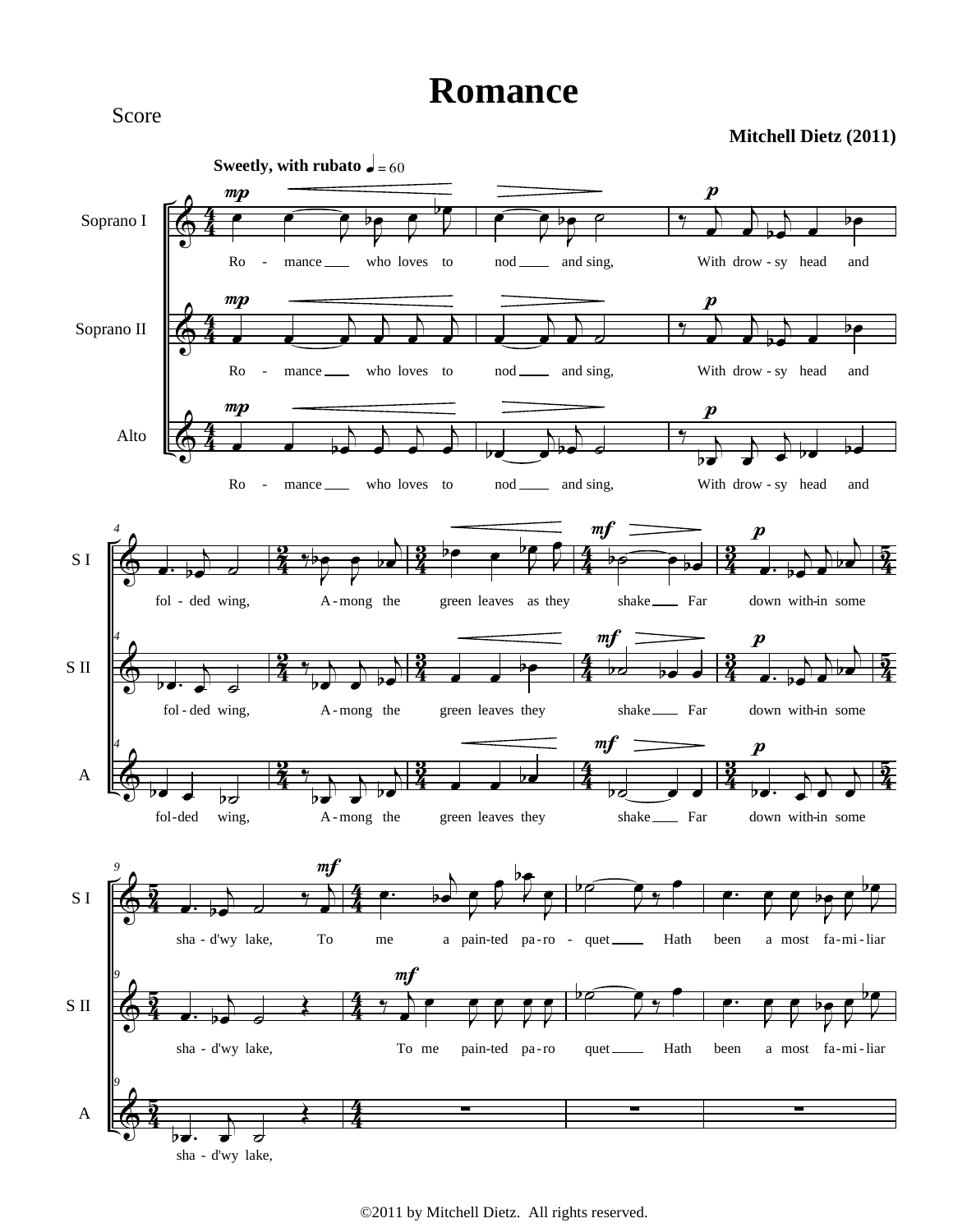## **Romance**

## **Mitchell Dietz (2011)**



Score